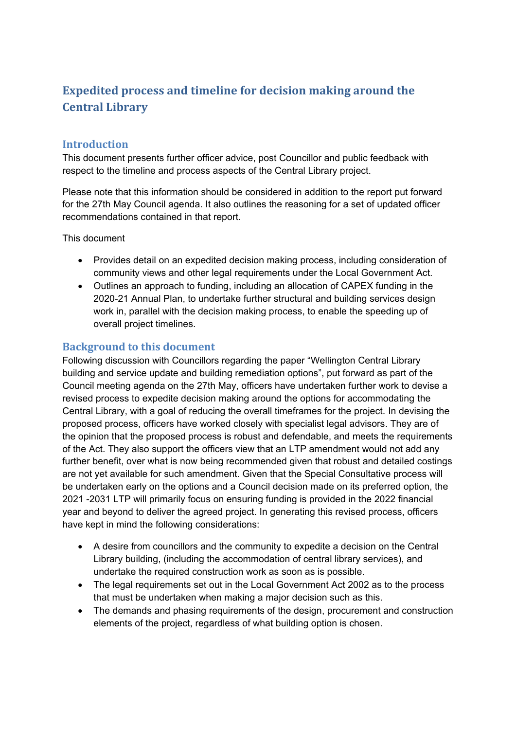# **Expedited process and timeline for decision making around the Central Library**

# **Introduction**

This document presents further officer advice, post Councillor and public feedback with respect to the timeline and process aspects of the Central Library project.

Please note that this information should be considered in addition to the report put forward for the 27th May Council agenda. It also outlines the reasoning for a set of updated officer recommendations contained in that report.

This document

- Provides detail on an expedited decision making process, including consideration of community views and other legal requirements under the Local Government Act.
- Outlines an approach to funding, including an allocation of CAPEX funding in the 2020-21 Annual Plan, to undertake further structural and building services design work in, parallel with the decision making process, to enable the speeding up of overall project timelines.

# **Background to this document**

Following discussion with Councillors regarding the paper "Wellington Central Library building and service update and building remediation options", put forward as part of the Council meeting agenda on the 27th May, officers have undertaken further work to devise a revised process to expedite decision making around the options for accommodating the Central Library, with a goal of reducing the overall timeframes for the project. In devising the proposed process, officers have worked closely with specialist legal advisors. They are of the opinion that the proposed process is robust and defendable, and meets the requirements of the Act. They also support the officers view that an LTP amendment would not add any further benefit, over what is now being recommended given that robust and detailed costings are not yet available for such amendment. Given that the Special Consultative process will be undertaken early on the options and a Council decision made on its preferred option, the 2021 -2031 LTP will primarily focus on ensuring funding is provided in the 2022 financial year and beyond to deliver the agreed project. In generating this revised process, officers have kept in mind the following considerations:

- A desire from councillors and the community to expedite a decision on the Central Library building, (including the accommodation of central library services), and undertake the required construction work as soon as is possible.
- The legal requirements set out in the Local Government Act 2002 as to the process that must be undertaken when making a major decision such as this.
- The demands and phasing requirements of the design, procurement and construction elements of the project, regardless of what building option is chosen.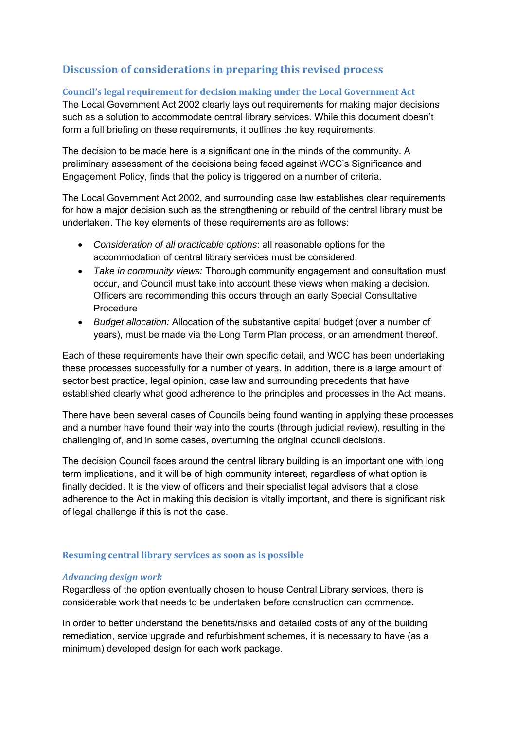# **Discussion of considerations in preparing this revised process**

## **Council's legal requirement for decision making under the Local Government Act**

The Local Government Act 2002 clearly lays out requirements for making major decisions such as a solution to accommodate central library services. While this document doesn't form a full briefing on these requirements, it outlines the key requirements.

The decision to be made here is a significant one in the minds of the community. A preliminary assessment of the decisions being faced against WCC's Significance and Engagement Policy, finds that the policy is triggered on a number of criteria.

The Local Government Act 2002, and surrounding case law establishes clear requirements for how a major decision such as the strengthening or rebuild of the central library must be undertaken. The key elements of these requirements are as follows:

- *Consideration of all practicable options*: all reasonable options for the accommodation of central library services must be considered.
- *Take in community views:* Thorough community engagement and consultation must occur, and Council must take into account these views when making a decision. Officers are recommending this occurs through an early Special Consultative Procedure
- *Budget allocation:* Allocation of the substantive capital budget (over a number of years), must be made via the Long Term Plan process, or an amendment thereof.

Each of these requirements have their own specific detail, and WCC has been undertaking these processes successfully for a number of years. In addition, there is a large amount of sector best practice, legal opinion, case law and surrounding precedents that have established clearly what good adherence to the principles and processes in the Act means.

There have been several cases of Councils being found wanting in applying these processes and a number have found their way into the courts (through judicial review), resulting in the challenging of, and in some cases, overturning the original council decisions.

The decision Council faces around the central library building is an important one with long term implications, and it will be of high community interest, regardless of what option is finally decided. It is the view of officers and their specialist legal advisors that a close adherence to the Act in making this decision is vitally important, and there is significant risk of legal challenge if this is not the case.

#### **Resuming central library services as soon as is possible**

#### *Advancing design work*

Regardless of the option eventually chosen to house Central Library services, there is considerable work that needs to be undertaken before construction can commence.

In order to better understand the benefits/risks and detailed costs of any of the building remediation, service upgrade and refurbishment schemes, it is necessary to have (as a minimum) developed design for each work package.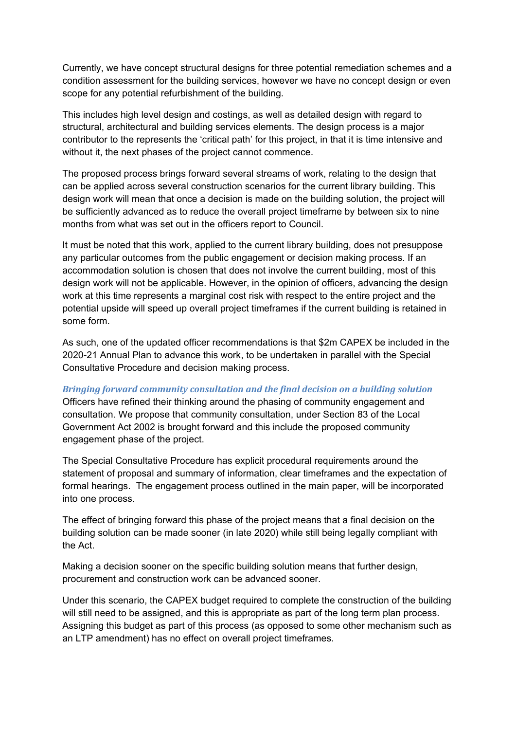Currently, we have concept structural designs for three potential remediation schemes and a condition assessment for the building services, however we have no concept design or even scope for any potential refurbishment of the building.

This includes high level design and costings, as well as detailed design with regard to structural, architectural and building services elements. The design process is a major contributor to the represents the 'critical path' for this project, in that it is time intensive and without it, the next phases of the project cannot commence.

The proposed process brings forward several streams of work, relating to the design that can be applied across several construction scenarios for the current library building. This design work will mean that once a decision is made on the building solution, the project will be sufficiently advanced as to reduce the overall project timeframe by between six to nine months from what was set out in the officers report to Council.

It must be noted that this work, applied to the current library building, does not presuppose any particular outcomes from the public engagement or decision making process. If an accommodation solution is chosen that does not involve the current building, most of this design work will not be applicable. However, in the opinion of officers, advancing the design work at this time represents a marginal cost risk with respect to the entire project and the potential upside will speed up overall project timeframes if the current building is retained in some form.

As such, one of the updated officer recommendations is that \$2m CAPEX be included in the 2020-21 Annual Plan to advance this work, to be undertaken in parallel with the Special Consultative Procedure and decision making process.

*Bringing forward community consultation and the final decision on a building solution* 

Officers have refined their thinking around the phasing of community engagement and consultation. We propose that community consultation, under Section 83 of the Local Government Act 2002 is brought forward and this include the proposed community engagement phase of the project.

The Special Consultative Procedure has explicit procedural requirements around the statement of proposal and summary of information, clear timeframes and the expectation of formal hearings. The engagement process outlined in the main paper, will be incorporated into one process.

The effect of bringing forward this phase of the project means that a final decision on the building solution can be made sooner (in late 2020) while still being legally compliant with the Act.

Making a decision sooner on the specific building solution means that further design, procurement and construction work can be advanced sooner.

Under this scenario, the CAPEX budget required to complete the construction of the building will still need to be assigned, and this is appropriate as part of the long term plan process. Assigning this budget as part of this process (as opposed to some other mechanism such as an LTP amendment) has no effect on overall project timeframes.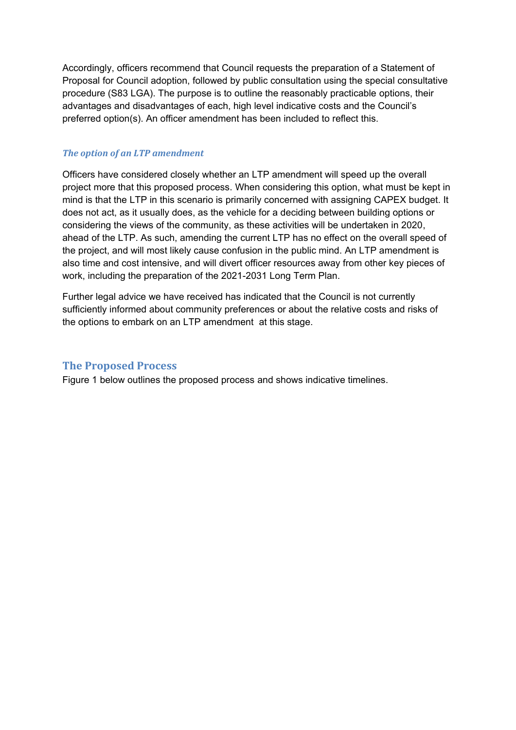Accordingly, officers recommend that Council requests the preparation of a Statement of Proposal for Council adoption, followed by public consultation using the special consultative procedure (S83 LGA). The purpose is to outline the reasonably practicable options, their advantages and disadvantages of each, high level indicative costs and the Council's preferred option(s). An officer amendment has been included to reflect this.

#### *The option of an LTP amendment*

Officers have considered closely whether an LTP amendment will speed up the overall project more that this proposed process. When considering this option, what must be kept in mind is that the LTP in this scenario is primarily concerned with assigning CAPEX budget. It does not act, as it usually does, as the vehicle for a deciding between building options or considering the views of the community, as these activities will be undertaken in 2020, ahead of the LTP. As such, amending the current LTP has no effect on the overall speed of the project, and will most likely cause confusion in the public mind. An LTP amendment is also time and cost intensive, and will divert officer resources away from other key pieces of work, including the preparation of the 2021-2031 Long Term Plan.

Further legal advice we have received has indicated that the Council is not currently sufficiently informed about community preferences or about the relative costs and risks of the options to embark on an LTP amendment at this stage.

## **The Proposed Process**

Figure 1 below outlines the proposed process and shows indicative timelines.